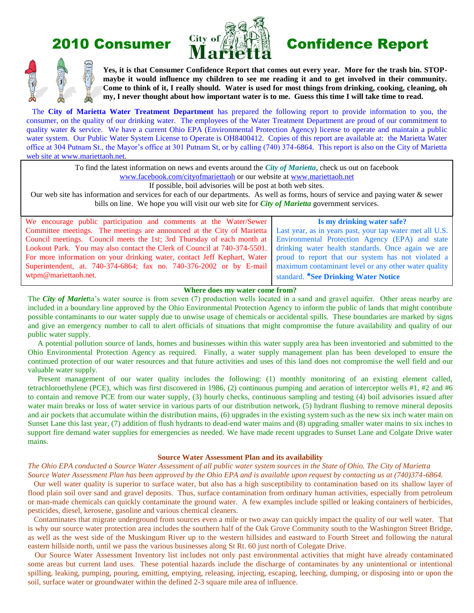

# 2010 Consumer  $\frac{City}{M}$  of  $\left(\frac{My}{M}\right)$  Confidence Report



**Yes, it is that Consumer Confidence Report that comes out every year. More for the trash bin. STOPmaybe it would influence my children to see me reading it and to get involved in their community. Come to think of it, I really should. Water is used for most things from drinking, cooking, cleaning, oh my, I never thought about how important water is to me. Guess this time I will take time to read.**

 The **City of Marietta Water Treatment Department** has prepared the following report to provide information to you, the consumer, on the quality of our drinking water. The employees of the Water Treatment Department are proud of our commitment to quality water & service. We have a current Ohio EPA (Environmental Protection Agency) license to operate and maintain a public water system. Our Public Water System License to Operate is OH8400412. Copies of this report are available at: the Marietta Water office at 304 Putnam St., the Mayor's office at 301 Putnam St, or by calling (740) 374-6864. This report is also on the City of Marietta web site at www.mariettaoh.net.

To find the latest information on news and events around the *City of Marietta*, check us out on facebook

[www.facebook.com/cityofmariettaoh](http://www.facebook.com/cityofmariettaoh) or our website at [www.mariettaoh.net](http://www.mariettaoh.net/)

If possible, boil advisories will be post at both web sites.

Our web site has information and services for each of our departments. As well as forms, hours of service and paying water & sewer bills on line. We hope you will visit our web site for *City of Marietta* government services.

We encourage public participation and comments at the Water/Sewer Committee meetings. The meetings are announced at the City of Marietta Council meetings. Council meets the 1st; 3rd Thursday of each month at Lookout Park. You may also contact the Clerk of Council at 740-374-5501. For more information on your drinking water, contact Jeff Kephart, Water Superintendent, at. 740-374-6864; fax no. 740-376-2002 or by E-mail wtpm@mariettaoh.net.

# **Is my drinking water safe?**

Last year, as in years past, your tap water met all U.S. Environmental Protection Agency (EPA) and state drinking water health standards. Once again we are proud to report that our system has not violated a maximum contaminant level or any other water quality standard. **\*See Drinking Water Notice**

# **Where does my water come from?**

The *City of Mariet*ta's water source is from seven (7) production wells located in a sand and gravel aquifer. Other areas nearby are included in a boundary line approved by the Ohio Environmental Protection Agency to inform the public of lands that might contribute possible contaminants to our water supply due to unwise usage of chemicals or accidental spills. These boundaries are marked by signs and give an emergency number to call to alert officials of situations that might compromise the future availability and quality of our public water supply.

 A potential pollution source of lands, homes and businesses within this water supply area has been inventoried and submitted to the Ohio Environmental Protection Agency as required. Finally, a water supply management plan has been developed to ensure the continued protection of our water resources and that future activities and uses of this land does not compromise the well field and our valuable water supply.

Present management of our water quality includes the following: (1) monthly monitoring of an existing element called, tetrachloroethylene (PCE), which was first discovered in 1986, (2) continuous pumping and aeration of interceptor wells #1, #2 and #6 to contain and remove PCE from our water supply, (3) hourly checks, continuous sampling and testing (4) boil advisories issued after water main breaks or loss of water service in various parts of our distribution network, (5) hydrant flushing to remove mineral deposits and air pockets that accumulate within the distribution mains, (6) upgrades in the existing system such as the new six inch water main on Sunset Lane this last year, (7) addition of flush hydrants to dead-end water mains and (8) upgrading smaller water mains to six inches to support fire demand water supplies for emergencies as needed. We have made recent upgrades to Sunset Lane and Colgate Drive water mains.

#### **Source Water Assessment Plan and its availability**

*The Ohio EPA conducted a Source Water Assessment of all public water system sources in the State of Ohio. The City of Marietta* 

*Source Water Assessment Plan has been approved by the Ohio EPA and is available upon request by contacting us at (740)374-6864.*  Our well water quality is superior to surface water, but also has a high susceptibility to contamination based on its shallow layer of flood plain soil over sand and gravel deposits. Thus, surface contamination from ordinary human activities, especially from petroleum or man-made chemicals can quickly contaminate the ground water. A few examples include spilled or leaking containers of herbicides, pesticides, diesel, kerosene, gasoline and various chemical cleaners.

 Contaminates that migrate underground from sources even a mile or two away can quickly impact the quality of our well water. That is why our source water protection area includes the southern half of the Oak Grove Community south to the Washington Street Bridge, as well as the west side of the Muskingum River up to the western hillsides and eastward to Fourth Street and following the natural eastern hillside north, until we pass the various businesses along St Rt. 60 just north of Colegate Drive.

 Our Source Water Assessment Inventory list includes not only past environmental activities that might have already contaminated some areas but current land uses. These potential hazards include the discharge of contaminates by any unintentional or intentional spilling, leaking, pumping, pouring, emitting, emptying, releasing, injecting, escaping, leeching, dumping, or disposing into or upon the soil, surface water or groundwater within the defined 2-3 square mile area of influence.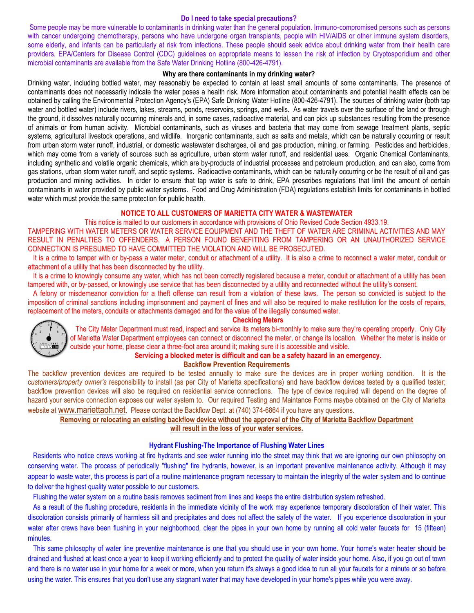#### **Do I need to take special precautions?**

Some people may be more vulnerable to contaminants in drinking water than the general population. Immuno-compromised persons such as persons with cancer undergoing chemotherapy, persons who have undergone organ transplants, people with HIV/AIDS or other immune system disorders, some elderly, and infants can be particularly at risk from infections. These people should seek advice about drinking water from their health care providers. EPA/Centers for Disease Control (CDC) guidelines on appropriate means to lessen the risk of infection by Cryptosporidium and other microbial contaminants are available from the Safe Water Drinking Hotline (800-426-4791).

#### **Why are there contaminants in my drinking water?**

Drinking water, including bottled water, may reasonably be expected to contain at least small amounts of some contaminants. The presence of contaminants does not necessarily indicate the water poses a health risk. More information about contaminants and potential health effects can be obtained by calling the Environmental Protection Agency's (EPA) Safe Drinking Water Hotline (800-426-4791). The sources of drinking water (both tap water and bottled water) include rivers, lakes, streams, ponds, reservoirs, springs, and wells. As water travels over the surface of the land or through the ground, it dissolves naturally occurring minerals and, in some cases, radioactive material, and can pick up substances resulting from the presence of animals or from human activity. Microbial contaminants, such as viruses and bacteria that may come from sewage treatment plants, septic systems, agricultural livestock operations, and wildlife. Inorganic contaminants, such as salts and metals, which can be naturally occurring or result from urban storm water runoff, industrial, or domestic wastewater discharges, oil and gas production, mining, or farming. Pesticides and herbicides, which may come from a variety of sources such as agriculture, urban storm water runoff, and residential uses. Organic Chemical Contaminants, including synthetic and volatile organic chemicals, which are by-products of industrial processes and petroleum production, and can also, come from gas stations, urban storm water runoff, and septic systems. Radioactive contaminants, which can be naturally occurring or be the result of oil and gas production and mining activities. In order to ensure that tap water is safe to drink, EPA prescribes regulations that limit the amount of certain contaminants in water provided by public water systems. Food and Drug Administration (FDA) regulations establish limits for contaminants in bottled water which must provide the same protection for public health.

# **NOTICE TO ALL CUSTOMERS OF MARIETTA CITY WATER & WASTEWATER**

This notice is mailed to our customers in accordance with provisions of Ohio Revised Code Section 4933.19.

TAMPERING WITH WATER METERS OR WATER SERVICE EQUIPMENT AND THE THEFT OF WATER ARE CRIMINAL ACTIVITIES AND MAY RESULT IN PENALTIES TO OFFENDERS. A PERSON FOUND BENEFITING FROM TAMPERING OR AN UNAUTHORIZED SERVICE CONNECTION IS PRESUMED TO HAVE COMMITTED THE VIOLATION AND WILL BE PROSECUTED.

 It is a crime to tamper with or by-pass a water meter, conduit or attachment of a utility. It is also a crime to reconnect a water meter, conduit or attachment of a utility that has been disconnected by the utility.

 It is a crime to knowingly consume any water, which has not been correctly registered because a meter, conduit or attachment of a utility has been tampered with, or by-passed, or knowingly use service that has been disconnected by a utility and reconnected without the utility's consent.

 A felony or misdemeanor conviction for a theft offense can result from a violation of these laws. The person so convicted is subject to the imposition of criminal sanctions including imprisonment and payment of fines and will also be required to make restitution for the costs of repairs, replacement of the meters, conduits or attachments damaged and for the value of the illegally consumed water.





# The City Meter Department must read, inspect and service its meters bi-monthly to make sure they're operating properly. Only City of Marietta Water Department employees can connect or disconnect the meter, or change its location. Whether the meter is inside or outside your home, please clear a three-foot area around it; making sure it is accessible and visible.

#### **Servicing a blocked meter is difficult and can be a safety hazard in an emergency.**

#### **Backflow Prevention Requirements**

The backflow prevention devices are required to be tested annually to make sure the devices are in proper working condition. It is the c*ustomers/property owner's* responsibility to install (as per City of Marietta specifications) and have backflow devices tested by a qualified tester; backflow prevention devices will also be required on residential service connections. The type of device required will depend on the degree of hazard your service connection exposes our water system to. Our required Testing and Maintance Forms maybe obtained on the City of Marietta website at [www.mariettaoh.net](http://www.mariettaoh.net/). Please contact the Backflow Dept. at (740) 374-6864 if you have any questions.

# **Removing or relocating an existing backflow device without the approval of the City of Marietta Backflow Department**

# **will result in the loss of your water services.**

#### **Hydrant Flushing-The Importance of Flushing Water Lines**

 Residents who notice crews working at fire hydrants and see water running into the street may think that we are ignoring our own philosophy on conserving water. The process of periodically "flushing" fire hydrants, however, is an important preventive maintenance activity. Although it may appear to waste water, this process is part of a routine maintenance program necessary to maintain the integrity of the water system and to continue to deliver the highest quality water possible to our customers.

Flushing the water system on a routine basis removes sediment from lines and keeps the entire distribution system refreshed.

 As a result of the flushing procedure, residents in the immediate vicinity of the work may experience temporary discoloration of their water. This discoloration consists primarily of harmless silt and precipitates and does not affect the safety of the water. If you experience discoloration in your water after crews have been flushing in your neighborhood, clear the pipes in your own home by running all cold water faucets for 15 (fifteen) minutes.

 This same philosophy of water line preventive maintenance is one that you should use in your own home. Your home's water heater should be drained and flushed at least once a year to keep it working efficiently and to protect the quality of water inside your home. Also, if you go out of town and there is no water use in your home for a week or more, when you return it's always a good idea to run all your faucets for a minute or so before using the water. This ensures that you don't use any stagnant water that may have developed in your home's pipes while you were away.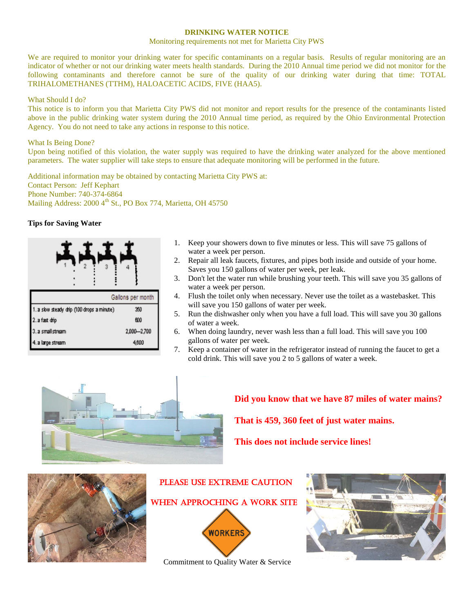# **DRINKING WATER NOTICE**

#### Monitoring requirements not met for Marietta City PWS

We are required to monitor your drinking water for specific contaminants on a regular basis. Results of regular monitoring are an indicator of whether or not our drinking water meets health standards. During the 2010 Annual time period we did not monitor for the following contaminants and therefore cannot be sure of the quality of our drinking water during that time: TOTAL TRIHALOMETHANES (TTHM), HALOACETIC ACIDS, FIVE (HAA5).

### What Should I do?

This notice is to inform you that Marietta City PWS did not monitor and report results for the presence of the contaminants listed above in the public drinking water system during the 2010 Annual time period, as required by the Ohio Environmental Protection Agency. You do not need to take any actions in response to this notice.

## What Is Being Done?

Upon being notified of this violation, the water supply was required to have the drinking water analyzed for the above mentioned parameters. The water supplier will take steps to ensure that adequate monitoring will be performed in the future.

Additional information may be obtained by contacting Marietta City PWS at: Contact Person: Jeff Kephart Phone Number: 740-374-6864 Mailing Address:  $2000 \, 4^{th}$  St., PO Box 774, Marietta, OH 45750

# **Tips for Saving Water**

|                                            | Gallons per month |
|--------------------------------------------|-------------------|
| 1. a slow steady drip (100 drops a minute) | 350               |
| 2. a fast drip                             | 600               |
| 3. a small stream                          | 2,000-2,700       |
| 4. a large stream                          | 4,600             |

- 1. Keep your showers down to five minutes or less. This will save 75 gallons of water a week per person.
- 2. Repair all leak faucets, fixtures, and pipes both inside and outside of your home. Saves you 150 gallons of water per week, per leak.
- 3. Don't let the water run while brushing your teeth. This will save you 35 gallons of water a week per person.
- 4. Flush the toilet only when necessary. Never use the toilet as a wastebasket. This will save you 150 gallons of water per week.
- 5. Run the dishwasher only when you have a full load. This will save you 30 gallons of water a week.
- 6. When doing laundry, never wash less than a full load. This will save you 100 gallons of water per week.
- 7. Keep a container of water in the refrigerator instead of running the faucet to get a cold drink. This will save you 2 to 5 gallons of water a week.



# **Did you know that we have 87 miles of water mains?**

 **That is 459, 360 feet of just water mains.** 

 **This does not include service lines!**





PLEASE USE EXTREME CAUTION

Commitment to Quality Water & Service